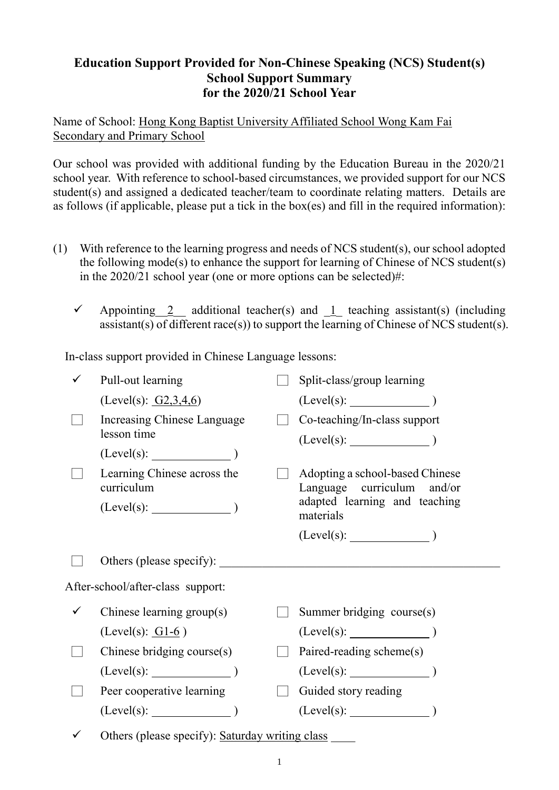## **Education Support Provided for Non-Chinese Speaking (NCS) Student(s) School Support Summary for the 2020/21 School Year**

Name of School: Hong Kong Baptist University Affiliated School Wong Kam Fai Secondary and Primary School

Our school was provided with additional funding by the Education Bureau in the 2020/21 school year. With reference to school-based circumstances, we provided support for our NCS student(s) and assigned a dedicated teacher/team to coordinate relating matters. Details are as follows (if applicable, please put a tick in the box(es) and fill in the required information):

- (1) With reference to the learning progress and needs of NCS student(s), our school adopted the following mode(s) to enhance the support for learning of Chinese of NCS student(s) in the 2020/21 school year (one or more options can be selected)#:
	- $\checkmark$  Appointing 2 additional teacher(s) and 1 teaching assistant(s) (including assistant(s) of different race(s)) to support the learning of Chinese of NCS student(s).

In-class support provided in Chinese Language lessons:

|   | Pull-out learning                               |  | Split-class/group learning                                                                     |  |  |
|---|-------------------------------------------------|--|------------------------------------------------------------------------------------------------|--|--|
|   | (Level(s): $G2,3,4,6$ )                         |  | $(Level(s):$ $)$                                                                               |  |  |
|   | Increasing Chinese Language<br>lesson time      |  | Co-teaching/In-class support                                                                   |  |  |
|   | (Level(s):                                      |  |                                                                                                |  |  |
|   | Learning Chinese across the<br>curriculum       |  | Adopting a school-based Chinese<br>Language curriculum and/or<br>adapted learning and teaching |  |  |
|   | $(Level(s):$ $)$                                |  | materials                                                                                      |  |  |
|   |                                                 |  | (Level(s):                                                                                     |  |  |
|   | Others (please specify):                        |  |                                                                                                |  |  |
|   | After-school/after-class support:               |  |                                                                                                |  |  |
| ✓ | Chinese learning group(s)                       |  | Summer bridging course(s)                                                                      |  |  |
|   | $(Level(s): 61-6)$                              |  |                                                                                                |  |  |
|   | Chinese bridging course $(s)$                   |  | Paired-reading scheme(s)                                                                       |  |  |
|   | $(Level(s):$ $)$                                |  | $(Level(s):$ (Level(s):                                                                        |  |  |
|   | Peer cooperative learning                       |  | Guided story reading                                                                           |  |  |
|   | $(Level(s):$ (Level(s):                         |  | $(Level(s):$ $)$                                                                               |  |  |
|   | Others (please specify): Saturday writing class |  |                                                                                                |  |  |